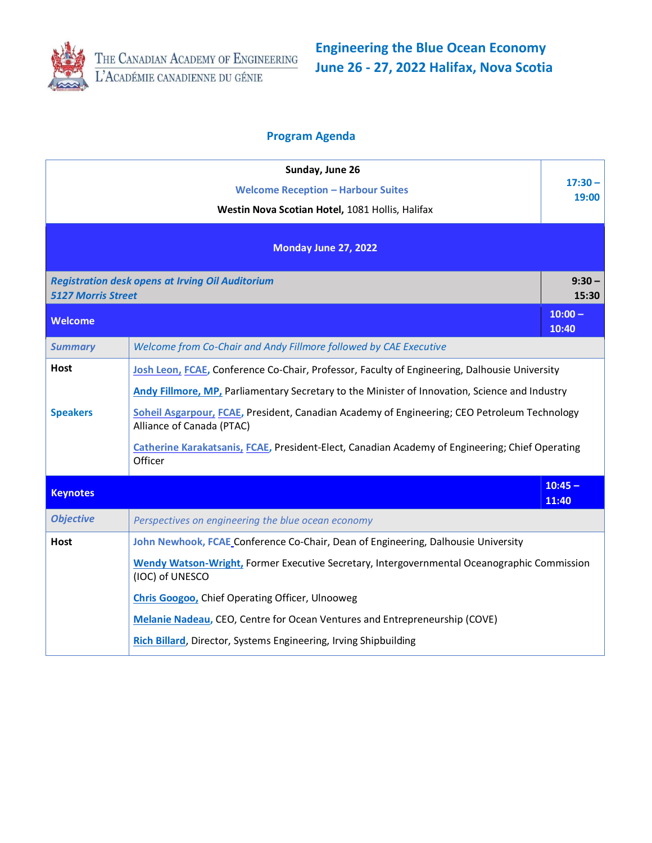

**Engineering the Blue Ocean Economy June 26 - 27, 2022 Halifax, Nova Scotia**

## **Program Agenda**

|                                                                                      | Sunday, June 26<br><b>Welcome Reception - Harbour Suites</b>                                                              | $17:30 -$          |  |
|--------------------------------------------------------------------------------------|---------------------------------------------------------------------------------------------------------------------------|--------------------|--|
|                                                                                      | Westin Nova Scotian Hotel, 1081 Hollis, Halifax                                                                           | 19:00              |  |
|                                                                                      | Monday June 27, 2022                                                                                                      |                    |  |
| <b>Registration desk opens at Irving Oil Auditorium</b><br><b>5127 Morris Street</b> |                                                                                                                           | $9:30 -$<br>15:30  |  |
| <b>Welcome</b>                                                                       |                                                                                                                           | $10:00 -$<br>10:40 |  |
| <b>Summary</b>                                                                       | Welcome from Co-Chair and Andy Fillmore followed by CAE Executive                                                         |                    |  |
| Host                                                                                 | Josh Leon, FCAE, Conference Co-Chair, Professor, Faculty of Engineering, Dalhousie University                             |                    |  |
|                                                                                      | Andy Fillmore, MP, Parliamentary Secretary to the Minister of Innovation, Science and Industry                            |                    |  |
| <b>Speakers</b>                                                                      | Soheil Asgarpour, FCAE, President, Canadian Academy of Engineering; CEO Petroleum Technology<br>Alliance of Canada (PTAC) |                    |  |
|                                                                                      | Catherine Karakatsanis, FCAE, President-Elect, Canadian Academy of Engineering; Chief Operating<br>Officer                |                    |  |
| <b>Keynotes</b>                                                                      |                                                                                                                           | $10:45 -$<br>11:40 |  |
| <b>Objective</b>                                                                     | Perspectives on engineering the blue ocean economy                                                                        |                    |  |
| Host                                                                                 | John Newhook, FCAE Conference Co-Chair, Dean of Engineering, Dalhousie University                                         |                    |  |
|                                                                                      | Wendy Watson-Wright, Former Executive Secretary, Intergovernmental Oceanographic Commission<br>(IOC) of UNESCO            |                    |  |
|                                                                                      | <b>Chris Googoo, Chief Operating Officer, Ulnooweg</b>                                                                    |                    |  |
|                                                                                      | Melanie Nadeau, CEO, Centre for Ocean Ventures and Entrepreneurship (COVE)                                                |                    |  |
|                                                                                      | Rich Billard, Director, Systems Engineering, Irving Shipbuilding                                                          |                    |  |